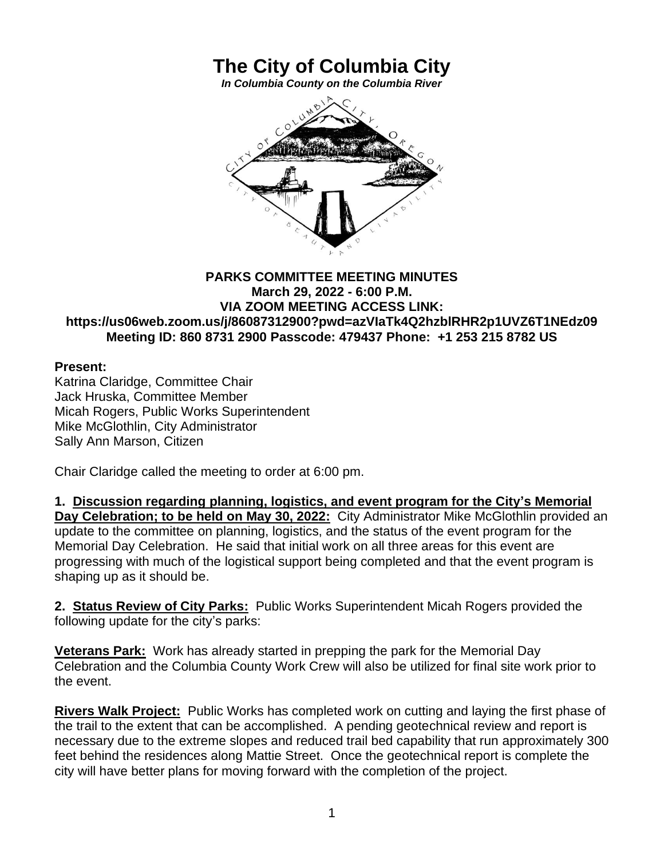## **The City of Columbia City**

*In Columbia County on the Columbia River*



## **PARKS COMMITTEE MEETING MINUTES March 29, 2022 - 6:00 P.M. VIA ZOOM MEETING ACCESS LINK: https://us06web.zoom.us/j/86087312900?pwd=azVIaTk4Q2hzblRHR2p1UVZ6T1NEdz09 Meeting ID: 860 8731 2900 Passcode: 479437 Phone: +1 253 215 8782 US**

## **Present:**

Katrina Claridge, Committee Chair Jack Hruska, Committee Member Micah Rogers, Public Works Superintendent Mike McGlothlin, City Administrator Sally Ann Marson, Citizen

Chair Claridge called the meeting to order at 6:00 pm.

**1. Discussion regarding planning, logistics, and event program for the City's Memorial Day Celebration; to be held on May 30, 2022:** City Administrator Mike McGlothlin provided an update to the committee on planning, logistics, and the status of the event program for the Memorial Day Celebration. He said that initial work on all three areas for this event are progressing with much of the logistical support being completed and that the event program is shaping up as it should be.

**2. Status Review of City Parks:** Public Works Superintendent Micah Rogers provided the following update for the city's parks:

**Veterans Park:** Work has already started in prepping the park for the Memorial Day Celebration and the Columbia County Work Crew will also be utilized for final site work prior to the event.

**Rivers Walk Project:** Public Works has completed work on cutting and laying the first phase of the trail to the extent that can be accomplished. A pending geotechnical review and report is necessary due to the extreme slopes and reduced trail bed capability that run approximately 300 feet behind the residences along Mattie Street. Once the geotechnical report is complete the city will have better plans for moving forward with the completion of the project.